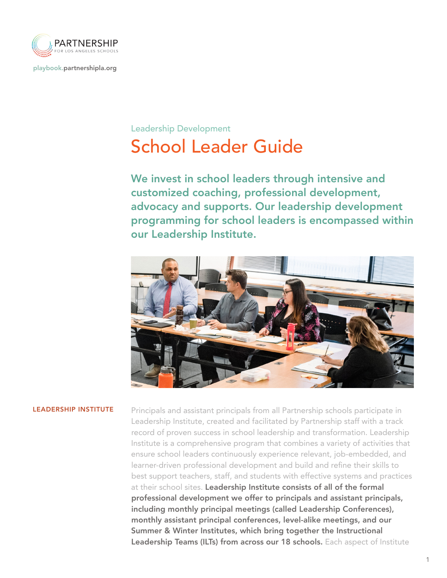

[playbook.partnershipla.org](http://playbook.partnershipla.org)

# School Leader Guide Leadership Development

We invest in school leaders through intensive and customized coaching, professional development, advocacy and supports. Our leadership development programming for school leaders is encompassed within our Leadership Institute.



**LEADERSHIP INSTITUTE** Principals and assistant principals from all Partnership schools participate in Leadership Institute, created and facilitated by Partnership staff with a track record of proven success in school leadership and transformation. Leadership Institute is a comprehensive program that combines a variety of activities that ensure school leaders continuously experience relevant, job-embedded, and learner-driven professional development and build and refine their skills to best support teachers, staff, and students with effective systems and practices at their school sites. Leadership Institute consists of all of the formal professional development we offer to principals and assistant principals, including monthly principal meetings (called Leadership Conferences), monthly assistant principal conferences, level-alike meetings, and our Summer & Winter Institutes, which bring together the Instructional Leadership Teams (ILTs) from across our 18 schools. Each aspect of Institute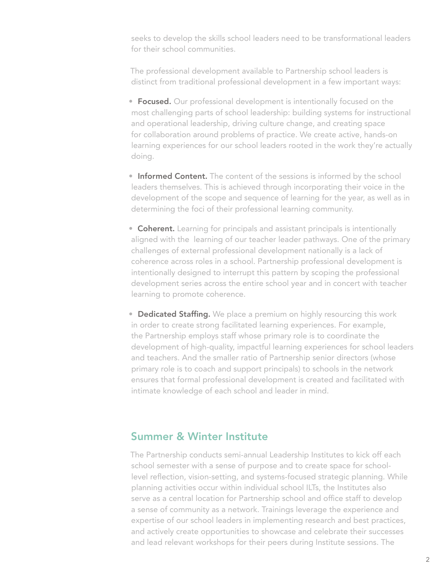seeks to develop the skills school leaders need to be transformational leaders for their school communities.

The professional development available to Partnership school leaders is distinct from traditional professional development in a few important ways:

- **Focused.** Our professional development is intentionally focused on the most challenging parts of school leadership: building systems for instructional and operational leadership, driving culture change, and creating space for collaboration around problems of practice. We create active, hands-on learning experiences for our school leaders rooted in the work they're actually doing.
- Informed Content. The content of the sessions is informed by the school leaders themselves. This is achieved through incorporating their voice in the development of the scope and sequence of learning for the year, as well as in determining the foci of their professional learning community.
- Coherent. Learning for principals and assistant principals is intentionally aligned with the learning of our teacher leader pathways. One of the primary challenges of external professional development nationally is a lack of coherence across roles in a school. Partnership professional development is intentionally designed to interrupt this pattern by scoping the professional development series across the entire school year and in concert with teacher learning to promote coherence.
- Dedicated Staffing. We place a premium on highly resourcing this work in order to create strong facilitated learning experiences. For example, the Partnership employs staff whose primary role is to coordinate the development of high-quality, impactful learning experiences for school leaders and teachers. And the smaller ratio of Partnership senior directors (whose primary role is to coach and support principals) to schools in the network ensures that formal professional development is created and facilitated with intimate knowledge of each school and leader in mind.

## Summer & Winter Institute

The Partnership conducts semi-annual Leadership Institutes to kick off each school semester with a sense of purpose and to create space for schoollevel reflection, vision-setting, and systems-focused strategic planning. While planning activities occur within individual school ILTs, the Institutes also serve as a central location for Partnership school and office staff to develop a sense of community as a network. Trainings leverage the experience and expertise of our school leaders in implementing research and best practices, and actively create opportunities to showcase and celebrate their successes and lead relevant workshops for their peers during Institute sessions. The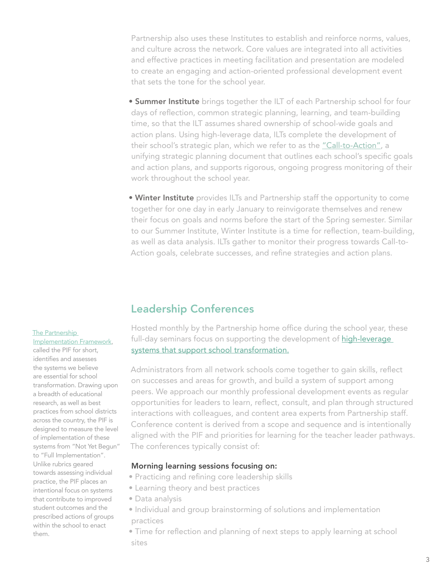Partnership also uses these Institutes to establish and reinforce norms, values, and culture across the network. Core values are integrated into all activities and effective practices in meeting facilitation and presentation are modeled to create an engaging and action-oriented professional development event that sets the tone for the school year.

- **Summer Institute** brings together the ILT of each Partnership school for four days of reflection, common strategic planning, learning, and team-building time, so that the ILT assumes shared ownership of school-wide goals and action plans. Using high-leverage data, ILTs complete the development of their school's strategic plan, which we refer to as th[e "Call-to-Action",](https://playbook.partnershipla.org/our-practice/) a unifying strategic planning document that outlines each school's specific goals and action plans, and supports rigorous, ongoing progress monitoring of their work throughout the school year.
- Winter Institute provides ILTs and Partnership staff the opportunity to come together for one day in early January to reinvigorate themselves and renew their focus on goals and norms before the start of the Spring semester. Similar to our Summer Institute, Winter Institute is a time for reflection, team-building, as well as data analysis. ILTs gather to monitor their progress towards Call-to-Action goals, celebrate successes, and refine strategies and action plans.

## Leadership Conferences

#### [The Partnership](https://playbook.partnershipla.org/wp-content/uploads/2020/02/pif-6-1.pdf)

[Implementation Framework,](https://playbook.partnershipla.org/wp-content/uploads/2020/02/pif-6-1.pdf)

called the PIF for short, identifies and assesses the systems we believe are essential for school transformation. Drawing upon a breadth of educational research, as well as best practices from school districts across the country, the PIF is designed to measure the level of implementation of these systems from "Not Yet Begun" to "Full Implementation". Unlike rubrics geared towards assessing individual practice, the PIF places an intentional focus on systems that contribute to improved student outcomes and the prescribed actions of groups within the school to enact them.

Hosted monthly by the Partnership home office during the school year, these full-day seminars focus on supporting the development of high-leverage systems that support school transformation.

Administrators from all network schools come together to gain skills, reflect on successes and areas for growth, and build a system of support among peers. We approach our monthly professional development events as regular opportunities for leaders to learn, reflect, consult, and plan through structured interactions with colleagues, and content area experts from Partnership staff. Conference content is derived from a scope and sequence and is intentionally aligned with the PIF and priorities for learning for the teacher leader pathways. The conferences typically consist of:

### Morning learning sessions focusing on:

- Practicing and refining core leadership skills
- Learning theory and best practices
- Data analysis
- Individual and group brainstorming of solutions and implementation practices
- Time for reflection and planning of next steps to apply learning at school sites